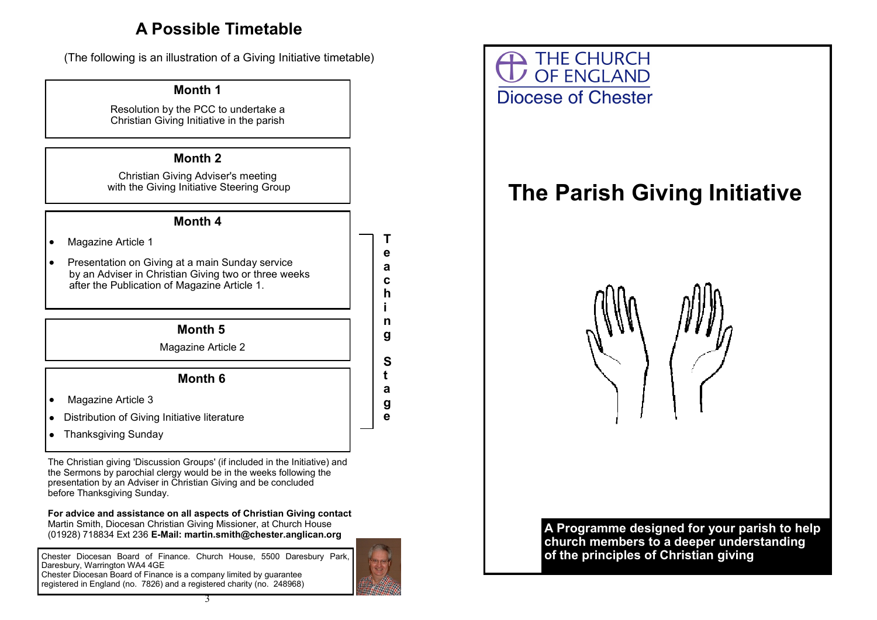## **A Possible Timetable**

(The following is an illustration of a Giving Initiative timetable)

### **Month 1**

Resolution by the PCC to undertake a Christian Giving Initiative in the parish

### **Month 2**

Christian Giving Adviser's meeting with the Giving Initiative Steering Group

#### **Month 4**

- Magazine Article 1
- Presentation on Giving at a main Sunday service by an Adviser in Christian Giving two or three weeks after the Publication of Magazine Article 1.

### **Month 5**

Magazine Article 2

### **Month 6**

- Magazine Article 3
- Distribution of Giving Initiative literature
- Thanksgiving Sunday

The Christian giving 'Discussion Groups' (if included in the Initiative) and the Sermons by parochial clergy would be in the weeks following the presentation by an Adviser in Christian Giving and be concluded before Thanksgiving Sunday.

**For advice and assistance on all aspects of Christian Giving contact** Martin Smith, Diocesan Christian Giving Missioner, at Church House (01928) 718834 Ext 236 **E-Mail: martin.smith@chester.anglican.org**

Chester Diocesan Board of Finance. Church House, 5500 Daresbury Park, Daresbury, Warrington WA4 4GE Chester Diocesan Board of Finance is a company limited by guarantee registered in England (no. 7826) and a registered charity (no. 248968)



**T e a c h i n g**

**S t a g e**



# **The Parish Giving Initiative**



**A Programme designed for your parish to help church members to a deeper understanding of the principles of Christian giving**